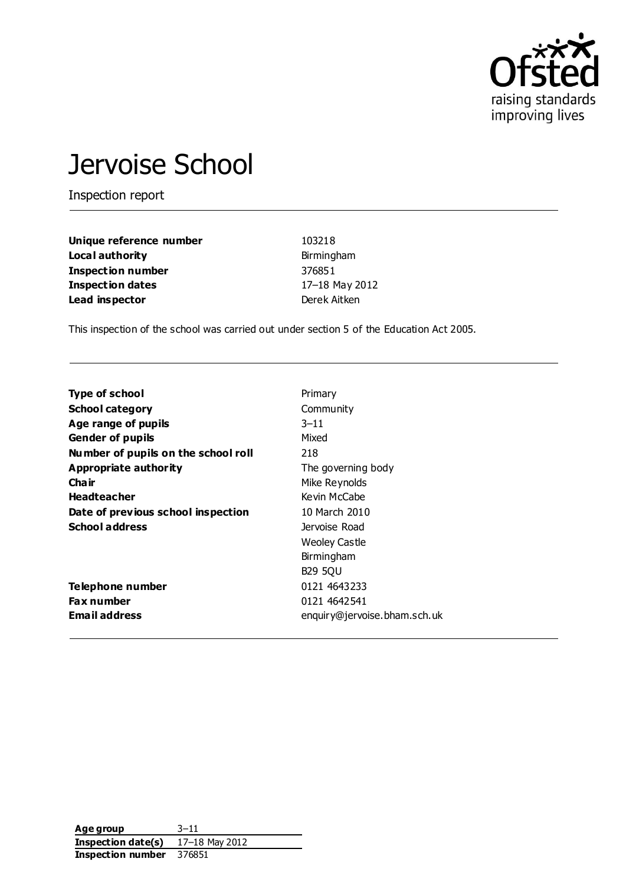

# Jervoise School

Inspection report

| Unique reference number  | 103218         |
|--------------------------|----------------|
| Local authority          | Birmingham     |
| <b>Inspection number</b> | 376851         |
| <b>Inspection dates</b>  | 17-18 May 2012 |
| Lead inspector           | Derek Aitken   |

This inspection of the school was carried out under section 5 of the Education Act 2005.

| <b>Type of school</b>               | Primary                      |
|-------------------------------------|------------------------------|
| <b>School category</b>              | Community                    |
| Age range of pupils                 | $3 - 11$                     |
| <b>Gender of pupils</b>             | Mixed                        |
| Number of pupils on the school roll | 218                          |
| Appropriate authority               | The governing body           |
| Cha ir                              | Mike Reynolds                |
| <b>Headteacher</b>                  | Kevin McCabe                 |
| Date of previous school inspection  | 10 March 2010                |
| <b>School address</b>               | Jervoise Road                |
|                                     | <b>Weoley Castle</b>         |
|                                     | Birmingham                   |
|                                     | <b>B29 5QU</b>               |
| Telephone number                    | 0121 4643233                 |
| <b>Fax number</b>                   | 0121 4642 541                |
| <b>Email address</b>                | enquiry@jervoise.bham.sch.uk |

| Age group          | $3 - 11$       |
|--------------------|----------------|
| Inspection date(s) | 17-18 May 2012 |
| Inspection number  | 376851         |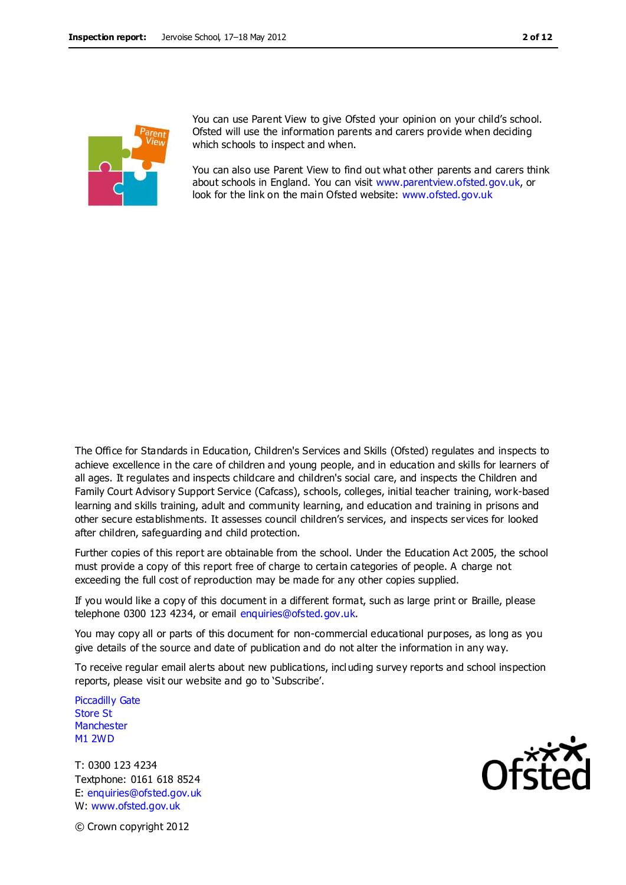

You can use Parent View to give Ofsted your opinion on your child's school. Ofsted will use the information parents and carers provide when deciding which schools to inspect and when.

You can also use Parent View to find out what other parents and carers think about schools in England. You can visit [www.parentview.ofsted.gov.uk,](http://www.parentview.ofsted.gov.uk/) or look for the link on the main Ofsted website: [www.ofsted.gov.uk](http://www.ofsted.gov.uk/)

The Office for Standards in Education, Children's Services and Skills (Ofsted) regulates and inspects to achieve excellence in the care of children and young people, and in education and skills for learners of all ages. It regulates and inspects childcare and children's social care, and inspects the Children and Family Court Advisory Support Service (Cafcass), schools, colleges, initial teacher training, work-based learning and skills training, adult and community learning, and education and training in prisons and other secure establishments. It assesses council children's services, and inspects ser vices for looked after children, safeguarding and child protection.

Further copies of this report are obtainable from the school. Under the Education Act 2005, the school must provide a copy of this report free of charge to certain categories of people. A charge not exceeding the full cost of reproduction may be made for any other copies supplied.

If you would like a copy of this document in a different format, such as large print or Braille, please telephone 0300 123 4234, or email enquiries@ofsted.gov.uk.

You may copy all or parts of this document for non-commercial educational purposes, as long as you give details of the source and date of publication and do not alter the information in any way.

To receive regular email alerts about new publications, incl uding survey reports and school inspection reports, please visit our website and go to 'Subscribe'.

Piccadilly Gate Store St **Manchester** M1 2WD

T: 0300 123 4234 Textphone: 0161 618 8524 E: enquiries@ofsted.gov.uk W: www.ofsted.gov.uk



© Crown copyright 2012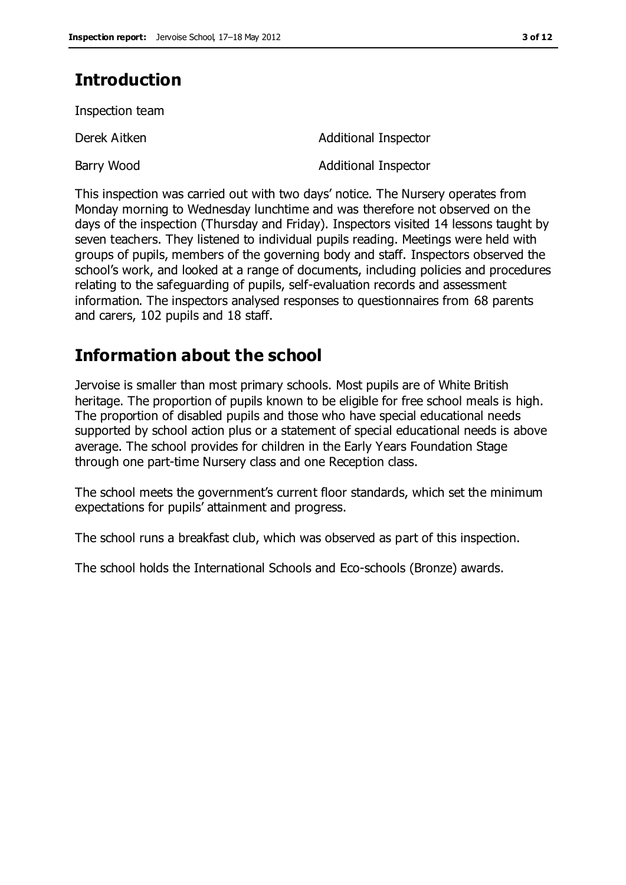# **Introduction**

Inspection team

Derek Aitken Additional Inspector

Barry Wood **Additional Inspector** 

This inspection was carried out with two days' notice. The Nursery operates from Monday morning to Wednesday lunchtime and was therefore not observed on the days of the inspection (Thursday and Friday). Inspectors visited 14 lessons taught by seven teachers. They listened to individual pupils reading. Meetings were held with groups of pupils, members of the governing body and staff. Inspectors observed the school's work, and looked at a range of documents, including policies and procedures relating to the safeguarding of pupils, self-evaluation records and assessment information. The inspectors analysed responses to questionnaires from 68 parents and carers, 102 pupils and 18 staff.

# **Information about the school**

Jervoise is smaller than most primary schools. Most pupils are of White British heritage. The proportion of pupils known to be eligible for free school meals is high. The proportion of disabled pupils and those who have special educational needs supported by school action plus or a statement of special educational needs is above average. The school provides for children in the Early Years Foundation Stage through one part-time Nursery class and one Reception class.

The school meets the government's current floor standards, which set the minimum expectations for pupils' attainment and progress.

The school runs a breakfast club, which was observed as part of this inspection.

The school holds the International Schools and Eco-schools (Bronze) awards.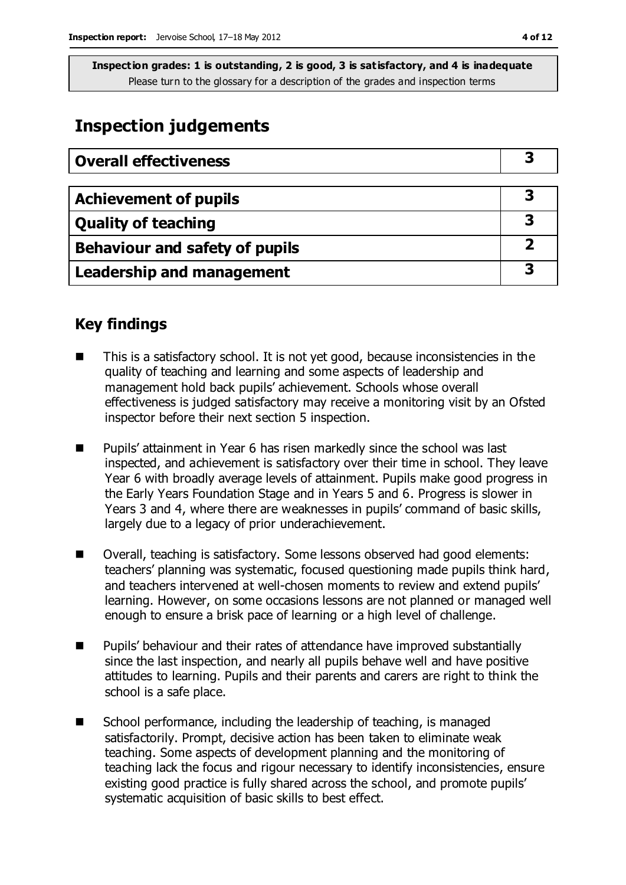# **Inspection judgements**

| <b>Overall effectiveness</b>     |  |
|----------------------------------|--|
|                                  |  |
| <b>Achievement of pupils</b>     |  |
| <b>Quality of teaching</b>       |  |
| Behaviour and safety of pupils   |  |
| <b>Leadership and management</b> |  |

# **Key findings**

- This is a satisfactory school. It is not yet good, because inconsistencies in the quality of teaching and learning and some aspects of leadership and management hold back pupils' achievement. Schools whose overall effectiveness is judged satisfactory may receive a monitoring visit by an Ofsted inspector before their next section 5 inspection.
- **Pupils' attainment in Year 6 has risen markedly since the school was last** inspected, and achievement is satisfactory over their time in school. They leave Year 6 with broadly average levels of attainment. Pupils make good progress in the Early Years Foundation Stage and in Years 5 and 6. Progress is slower in Years 3 and 4, where there are weaknesses in pupils' command of basic skills, largely due to a legacy of prior underachievement.
- Overall, teaching is satisfactory. Some lessons observed had good elements: teachers' planning was systematic, focused questioning made pupils think hard, and teachers intervened at well-chosen moments to review and extend pupils' learning. However, on some occasions lessons are not planned or managed well enough to ensure a brisk pace of learning or a high level of challenge.
- **Pupils' behaviour and their rates of attendance have improved substantially** since the last inspection, and nearly all pupils behave well and have positive attitudes to learning. Pupils and their parents and carers are right to think the school is a safe place.
- School performance, including the leadership of teaching, is managed satisfactorily. Prompt, decisive action has been taken to eliminate weak teaching. Some aspects of development planning and the monitoring of teaching lack the focus and rigour necessary to identify inconsistencies, ensure existing good practice is fully shared across the school, and promote pupils' systematic acquisition of basic skills to best effect.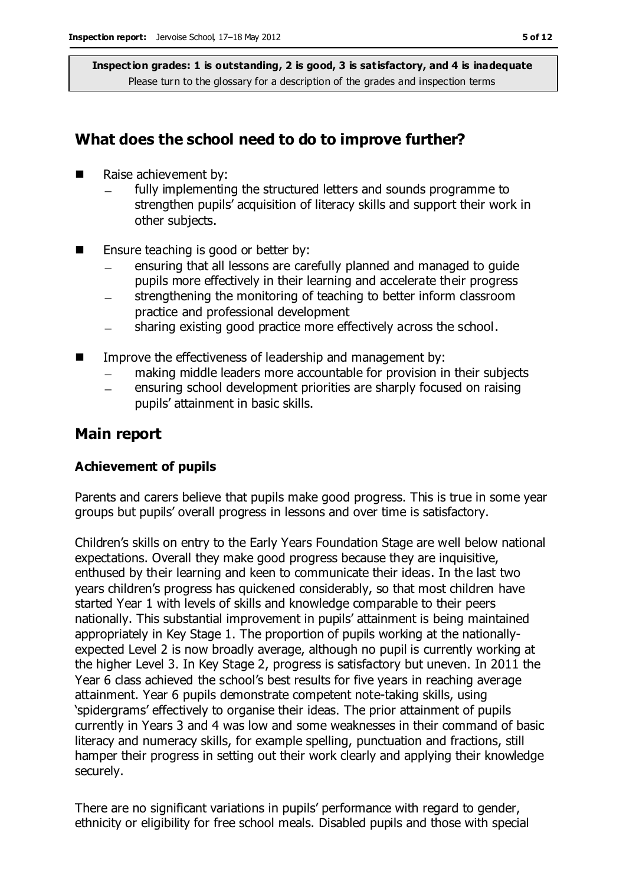# **What does the school need to do to improve further?**

- Raise achievement by:
	- fully implementing the structured letters and sounds programme to strengthen pupils' acquisition of literacy skills and support their work in other subjects.
- **E** Ensure teaching is good or better by:
	- ensuring that all lessons are carefully planned and managed to guide pupils more effectively in their learning and accelerate their progress
	- strengthening the monitoring of teaching to better inform classroom  $\equiv$ practice and professional development
	- sharing existing good practice more effectively across the school.  $\equiv$
- Improve the effectiveness of leadership and management by:
	- making middle leaders more accountable for provision in their subjects  $\equiv$
	- ensuring school development priorities are sharply focused on raising pupils' attainment in basic skills.

### **Main report**

#### **Achievement of pupils**

Parents and carers believe that pupils make good progress. This is true in some year groups but pupils' overall progress in lessons and over time is satisfactory.

Children's skills on entry to the Early Years Foundation Stage are well below national expectations. Overall they make good progress because they are inquisitive, enthused by their learning and keen to communicate their ideas. In the last two years children's progress has quickened considerably, so that most children have started Year 1 with levels of skills and knowledge comparable to their peers nationally. This substantial improvement in pupils' attainment is being maintained appropriately in Key Stage 1. The proportion of pupils working at the nationallyexpected Level 2 is now broadly average, although no pupil is currently working at the higher Level 3. In Key Stage 2, progress is satisfactory but uneven. In 2011 the Year 6 class achieved the school's best results for five years in reaching average attainment. Year 6 pupils demonstrate competent note-taking skills, using 'spidergrams' effectively to organise their ideas. The prior attainment of pupils currently in Years 3 and 4 was low and some weaknesses in their command of basic literacy and numeracy skills, for example spelling, punctuation and fractions, still hamper their progress in setting out their work clearly and applying their knowledge securely.

There are no significant variations in pupils' performance with regard to gender, ethnicity or eligibility for free school meals. Disabled pupils and those with special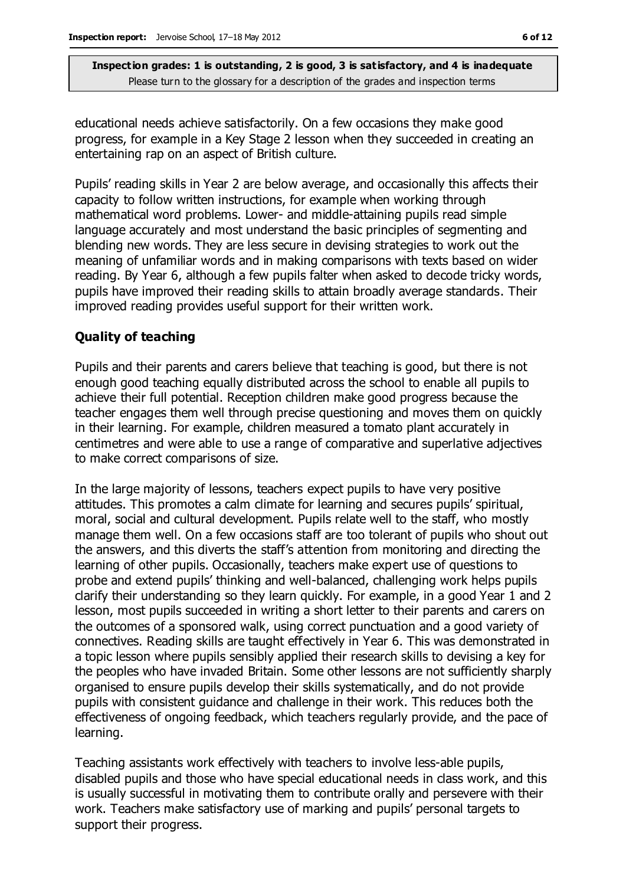educational needs achieve satisfactorily. On a few occasions they make good progress, for example in a Key Stage 2 lesson when they succeeded in creating an entertaining rap on an aspect of British culture.

Pupils' reading skills in Year 2 are below average, and occasionally this affects their capacity to follow written instructions, for example when working through mathematical word problems. Lower- and middle-attaining pupils read simple language accurately and most understand the basic principles of segmenting and blending new words. They are less secure in devising strategies to work out the meaning of unfamiliar words and in making comparisons with texts based on wider reading. By Year 6, although a few pupils falter when asked to decode tricky words, pupils have improved their reading skills to attain broadly average standards. Their improved reading provides useful support for their written work.

### **Quality of teaching**

Pupils and their parents and carers believe that teaching is good, but there is not enough good teaching equally distributed across the school to enable all pupils to achieve their full potential. Reception children make good progress because the teacher engages them well through precise questioning and moves them on quickly in their learning. For example, children measured a tomato plant accurately in centimetres and were able to use a range of comparative and superlative adjectives to make correct comparisons of size.

In the large majority of lessons, teachers expect pupils to have very positive attitudes. This promotes a calm climate for learning and secures pupils' spiritual, moral, social and cultural development. Pupils relate well to the staff, who mostly manage them well. On a few occasions staff are too tolerant of pupils who shout out the answers, and this diverts the staff's attention from monitoring and directing the learning of other pupils. Occasionally, teachers make expert use of questions to probe and extend pupils' thinking and well-balanced, challenging work helps pupils clarify their understanding so they learn quickly. For example, in a good Year 1 and 2 lesson, most pupils succeeded in writing a short letter to their parents and carers on the outcomes of a sponsored walk, using correct punctuation and a good variety of connectives. Reading skills are taught effectively in Year 6. This was demonstrated in a topic lesson where pupils sensibly applied their research skills to devising a key for the peoples who have invaded Britain. Some other lessons are not sufficiently sharply organised to ensure pupils develop their skills systematically, and do not provide pupils with consistent guidance and challenge in their work. This reduces both the effectiveness of ongoing feedback, which teachers regularly provide, and the pace of learning.

Teaching assistants work effectively with teachers to involve less-able pupils, disabled pupils and those who have special educational needs in class work, and this is usually successful in motivating them to contribute orally and persevere with their work. Teachers make satisfactory use of marking and pupils' personal targets to support their progress.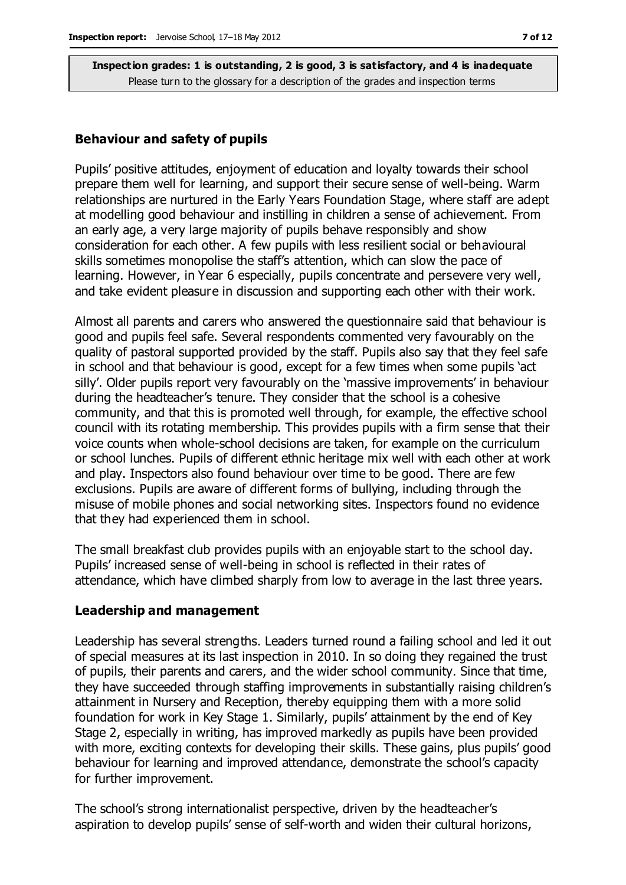#### **Behaviour and safety of pupils**

Pupils' positive attitudes, enjoyment of education and loyalty towards their school prepare them well for learning, and support their secure sense of well-being. Warm relationships are nurtured in the Early Years Foundation Stage, where staff are adept at modelling good behaviour and instilling in children a sense of achievement. From an early age, a very large majority of pupils behave responsibly and show consideration for each other. A few pupils with less resilient social or behavioural skills sometimes monopolise the staff's attention, which can slow the pace of learning. However, in Year 6 especially, pupils concentrate and persevere very well, and take evident pleasure in discussion and supporting each other with their work.

Almost all parents and carers who answered the questionnaire said that behaviour is good and pupils feel safe. Several respondents commented very favourably on the quality of pastoral supported provided by the staff. Pupils also say that they feel safe in school and that behaviour is good, except for a few times when some pupils 'act silly'. Older pupils report very favourably on the 'massive improvements' in behaviour during the headteacher's tenure. They consider that the school is a cohesive community, and that this is promoted well through, for example, the effective school council with its rotating membership. This provides pupils with a firm sense that their voice counts when whole-school decisions are taken, for example on the curriculum or school lunches. Pupils of different ethnic heritage mix well with each other at work and play. Inspectors also found behaviour over time to be good. There are few exclusions. Pupils are aware of different forms of bullying, including through the misuse of mobile phones and social networking sites. Inspectors found no evidence that they had experienced them in school.

The small breakfast club provides pupils with an enjoyable start to the school day. Pupils' increased sense of well-being in school is reflected in their rates of attendance, which have climbed sharply from low to average in the last three years.

#### **Leadership and management**

Leadership has several strengths. Leaders turned round a failing school and led it out of special measures at its last inspection in 2010. In so doing they regained the trust of pupils, their parents and carers, and the wider school community. Since that time, they have succeeded through staffing improvements in substantially raising children's attainment in Nursery and Reception, thereby equipping them with a more solid foundation for work in Key Stage 1. Similarly, pupils' attainment by the end of Key Stage 2, especially in writing, has improved markedly as pupils have been provided with more, exciting contexts for developing their skills. These gains, plus pupils' good behaviour for learning and improved attendance, demonstrate the school's capacity for further improvement.

The school's strong internationalist perspective, driven by the headteacher's aspiration to develop pupils' sense of self-worth and widen their cultural horizons,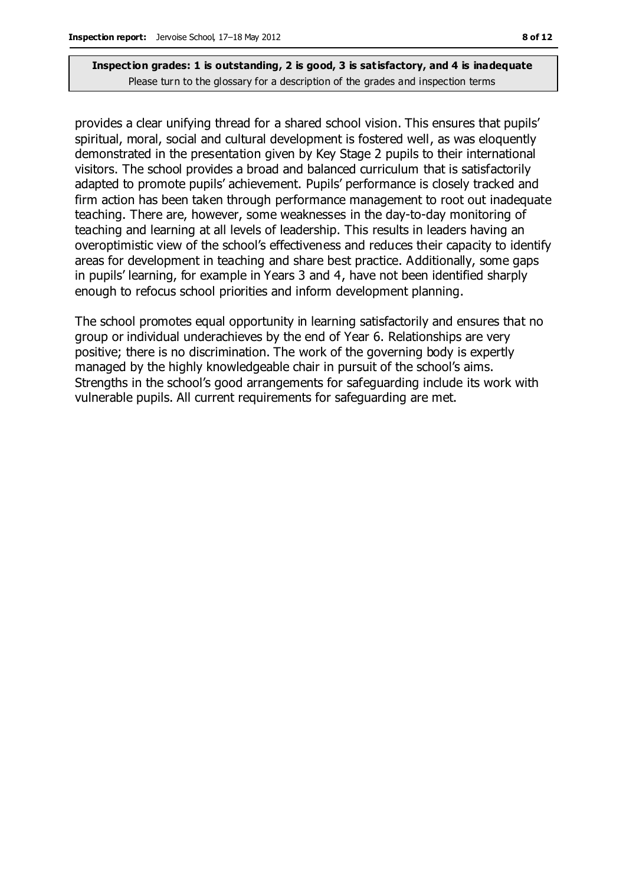provides a clear unifying thread for a shared school vision. This ensures that pupils' spiritual, moral, social and cultural development is fostered well, as was eloquently demonstrated in the presentation given by Key Stage 2 pupils to their international visitors. The school provides a broad and balanced curriculum that is satisfactorily adapted to promote pupils' achievement. Pupils' performance is closely tracked and firm action has been taken through performance management to root out inadequate teaching. There are, however, some weaknesses in the day-to-day monitoring of teaching and learning at all levels of leadership. This results in leaders having an overoptimistic view of the school's effectiveness and reduces their capacity to identify areas for development in teaching and share best practice. Additionally, some gaps in pupils' learning, for example in Years 3 and 4, have not been identified sharply enough to refocus school priorities and inform development planning.

The school promotes equal opportunity in learning satisfactorily and ensures that no group or individual underachieves by the end of Year 6. Relationships are very positive; there is no discrimination. The work of the governing body is expertly managed by the highly knowledgeable chair in pursuit of the school's aims. Strengths in the school's good arrangements for safeguarding include its work with vulnerable pupils. All current requirements for safeguarding are met.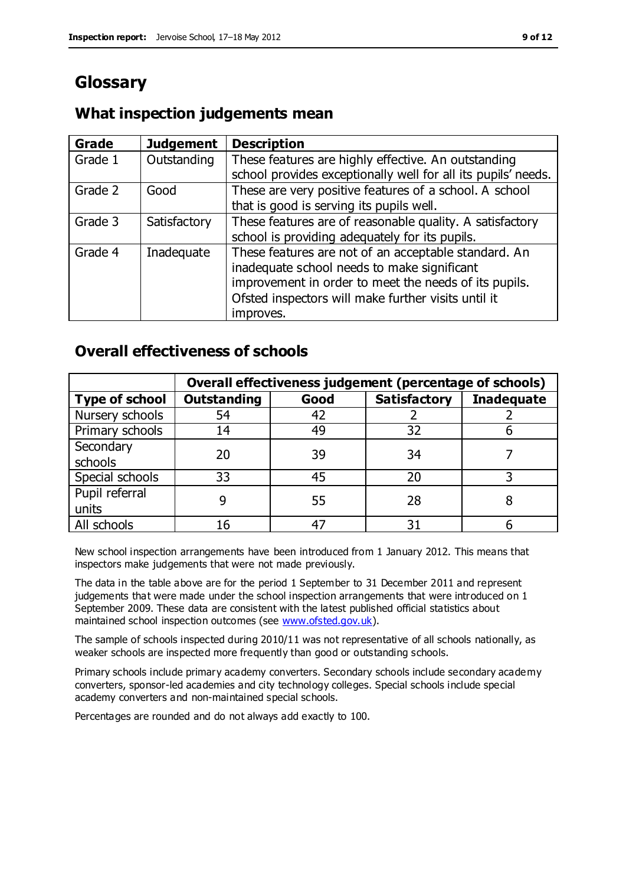# **Glossary**

# **What inspection judgements mean**

| Grade   | <b>Judgement</b> | <b>Description</b>                                                                                                                                                                                                               |
|---------|------------------|----------------------------------------------------------------------------------------------------------------------------------------------------------------------------------------------------------------------------------|
| Grade 1 | Outstanding      | These features are highly effective. An outstanding<br>school provides exceptionally well for all its pupils' needs.                                                                                                             |
| Grade 2 | Good             | These are very positive features of a school. A school<br>that is good is serving its pupils well.                                                                                                                               |
| Grade 3 | Satisfactory     | These features are of reasonable quality. A satisfactory<br>school is providing adequately for its pupils.                                                                                                                       |
| Grade 4 | Inadequate       | These features are not of an acceptable standard. An<br>inadequate school needs to make significant<br>improvement in order to meet the needs of its pupils.<br>Ofsted inspectors will make further visits until it<br>improves. |

# **Overall effectiveness of schools**

|                       | Overall effectiveness judgement (percentage of schools) |      |                     |                   |
|-----------------------|---------------------------------------------------------|------|---------------------|-------------------|
| <b>Type of school</b> | <b>Outstanding</b>                                      | Good | <b>Satisfactory</b> | <b>Inadequate</b> |
| Nursery schools       | 54                                                      | 42   |                     |                   |
| Primary schools       | 14                                                      | 49   | 32                  |                   |
| Secondary             | 20                                                      | 39   | 34                  |                   |
| schools               |                                                         |      |                     |                   |
| Special schools       | 33                                                      | 45   | 20                  |                   |
| Pupil referral        |                                                         | 55   | 28                  |                   |
| units                 |                                                         |      |                     |                   |
| All schools           | 16                                                      | 47   | 31                  |                   |

New school inspection arrangements have been introduced from 1 January 2012. This means that inspectors make judgements that were not made previously.

The data in the table above are for the period 1 September to 31 December 2011 and represent judgements that were made under the school inspection arrangements that were introduced on 1 September 2009. These data are consistent with the latest published official statistics about maintained school inspection outcomes (see [www.ofsted.gov.uk\)](http://www.ofsted.gov.uk/).

The sample of schools inspected during 2010/11 was not representative of all schools nationally, as weaker schools are inspected more frequently than good or outstanding schools.

Primary schools include primary academy converters. Secondary schools include secondary academy converters, sponsor-led academies and city technology colleges. Special schools include special academy converters and non-maintained special schools.

Percentages are rounded and do not always add exactly to 100.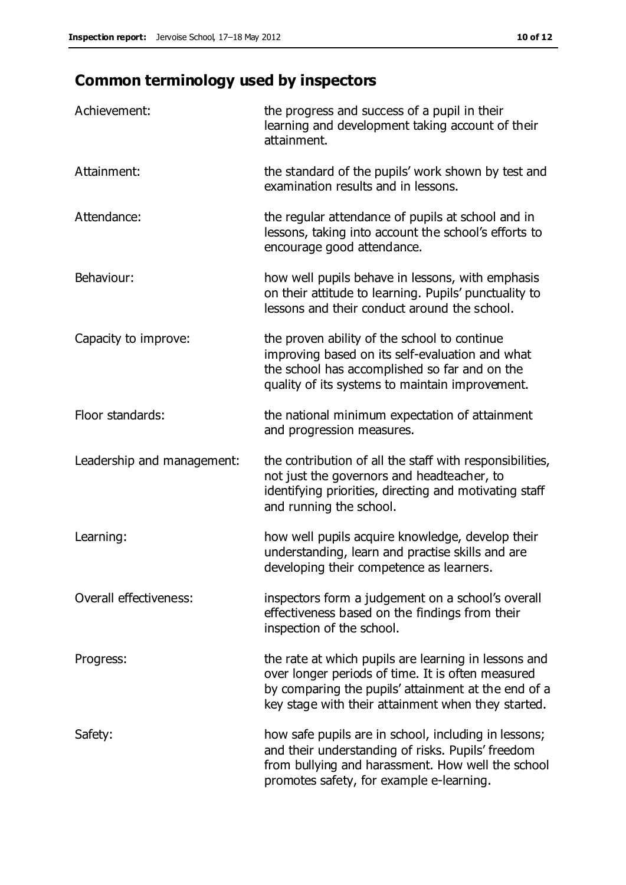# **Common terminology used by inspectors**

| Achievement:                  | the progress and success of a pupil in their<br>learning and development taking account of their<br>attainment.                                                                                                        |
|-------------------------------|------------------------------------------------------------------------------------------------------------------------------------------------------------------------------------------------------------------------|
| Attainment:                   | the standard of the pupils' work shown by test and<br>examination results and in lessons.                                                                                                                              |
| Attendance:                   | the regular attendance of pupils at school and in<br>lessons, taking into account the school's efforts to<br>encourage good attendance.                                                                                |
| Behaviour:                    | how well pupils behave in lessons, with emphasis<br>on their attitude to learning. Pupils' punctuality to<br>lessons and their conduct around the school.                                                              |
| Capacity to improve:          | the proven ability of the school to continue<br>improving based on its self-evaluation and what<br>the school has accomplished so far and on the<br>quality of its systems to maintain improvement.                    |
| Floor standards:              | the national minimum expectation of attainment<br>and progression measures.                                                                                                                                            |
| Leadership and management:    | the contribution of all the staff with responsibilities,<br>not just the governors and headteacher, to<br>identifying priorities, directing and motivating staff<br>and running the school.                            |
| Learning:                     | how well pupils acquire knowledge, develop their<br>understanding, learn and practise skills and are<br>developing their competence as learners.                                                                       |
| <b>Overall effectiveness:</b> | inspectors form a judgement on a school's overall<br>effectiveness based on the findings from their<br>inspection of the school.                                                                                       |
| Progress:                     | the rate at which pupils are learning in lessons and<br>over longer periods of time. It is often measured<br>by comparing the pupils' attainment at the end of a<br>key stage with their attainment when they started. |
| Safety:                       | how safe pupils are in school, including in lessons;<br>and their understanding of risks. Pupils' freedom<br>from bullying and harassment. How well the school<br>promotes safety, for example e-learning.             |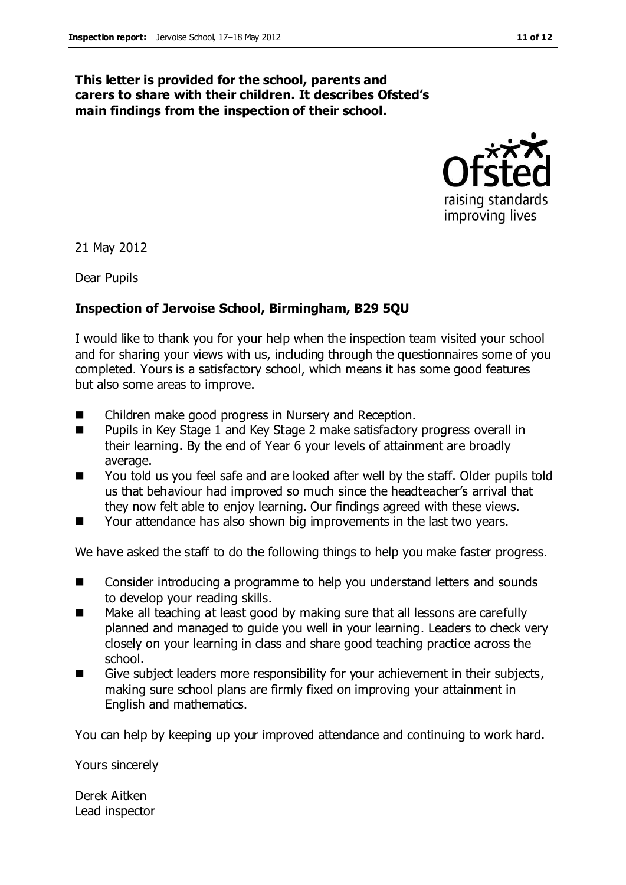### **This letter is provided for the school, parents and carers to share with their children. It describes Ofsted's main findings from the inspection of their school.**



21 May 2012

Dear Pupils

### **Inspection of Jervoise School, Birmingham, B29 5QU**

I would like to thank you for your help when the inspection team visited your school and for sharing your views with us, including through the questionnaires some of you completed. Yours is a satisfactory school, which means it has some good features but also some areas to improve.

- Children make good progress in Nursery and Reception.
- Pupils in Key Stage 1 and Key Stage 2 make satisfactory progress overall in their learning. By the end of Year 6 your levels of attainment are broadly average.
- You told us you feel safe and are looked after well by the staff. Older pupils told us that behaviour had improved so much since the headteacher's arrival that they now felt able to enjoy learning. Our findings agreed with these views.
- Your attendance has also shown big improvements in the last two years.

We have asked the staff to do the following things to help you make faster progress.

- Consider introducing a programme to help you understand letters and sounds to develop your reading skills.
- Make all teaching at least good by making sure that all lessons are carefully planned and managed to guide you well in your learning. Leaders to check very closely on your learning in class and share good teaching practice across the school.
- Give subject leaders more responsibility for your achievement in their subjects, making sure school plans are firmly fixed on improving your attainment in English and mathematics.

You can help by keeping up your improved attendance and continuing to work hard.

Yours sincerely

Derek Aitken Lead inspector